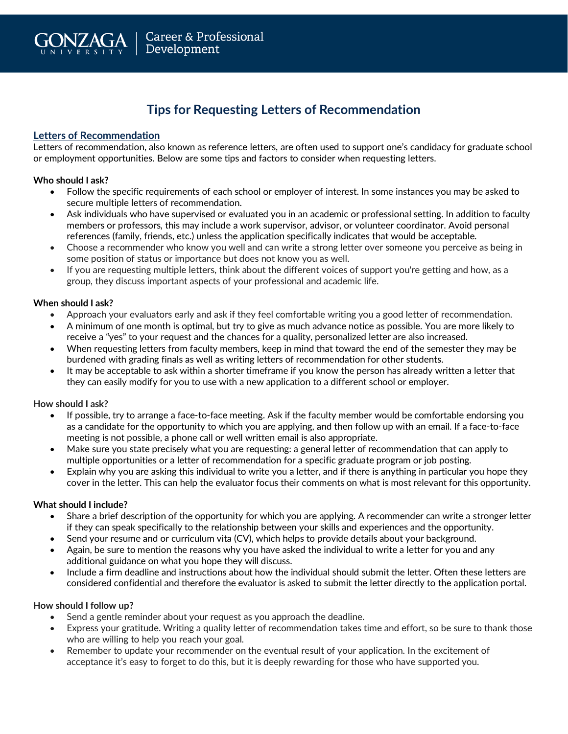

# **Tips for Requesting Letters of Recommendation**

## **Letters of Recommendation**

Letters of recommendation, also known as reference letters, are often used to support one's candidacy for graduate school or employment opportunities. Below are some tips and factors to consider when requesting letters.

### **Who should I ask?**

- Follow the specific requirements of each school or employer of interest. In some instances you may be asked to secure multiple letters of recommendation.
- Ask individuals who have supervised or evaluated you in an academic or professional setting. In addition to faculty members or professors, this may include a work supervisor, advisor, or volunteer coordinator. Avoid personal references (family, friends, etc.) unless the application specifically indicates that would be acceptable.
- Choose a recommender who know you well and can write a strong letter over someone you perceive as being in some position of status or importance but does not know you as well.
- If you are requesting multiple letters, think about the different voices of support you're getting and how, as a group, they discuss important aspects of your professional and academic life.

### **When should I ask?**

- Approach your evaluators early and ask if they feel comfortable writing you a good letter of recommendation.
- A minimum of one month is optimal, but try to give as much advance notice as possible. You are more likely to receive a "yes" to your request and the chances for a quality, personalized letter are also increased.
- When requesting letters from faculty members, keep in mind that toward the end of the semester they may be burdened with grading finals as well as writing letters of recommendation for other students.
- It may be acceptable to ask within a shorter timeframe if you know the person has already written a letter that they can easily modify for you to use with a new application to a different school or employer.

## **How should I ask?**

- If possible, try to arrange a face-to-face meeting. Ask if the faculty member would be comfortable endorsing you as a candidate for the opportunity to which you are applying, and then follow up with an email. If a face-to-face meeting is not possible, a phone call or well written email is also appropriate.
- Make sure you state precisely what you are requesting: a general letter of recommendation that can apply to multiple opportunities or a letter of recommendation for a specific graduate program or job posting.
- Explain why you are asking this individual to write you a letter, and if there is anything in particular you hope they cover in the letter. This can help the evaluator focus their comments on what is most relevant for this opportunity.

#### **What should I include?**

- Share a brief description of the opportunity for which you are applying. A recommender can write a stronger letter if they can speak specifically to the relationship between your skills and experiences and the opportunity.
- Send your resume and or curriculum vita (CV), which helps to provide details about your background.
- Again, be sure to mention the reasons why you have asked the individual to write a letter for you and any additional guidance on what you hope they will discuss.
- Include a firm deadline and instructions about how the individual should submit the letter. Often these letters are considered confidential and therefore the evaluator is asked to submit the letter directly to the application portal.

#### **How should I follow up?**

- Send a gentle reminder about your request as you approach the deadline.
- Express your gratitude. Writing a quality letter of recommendation takes time and effort, so be sure to thank those who are willing to help you reach your goal.
- Remember to update your recommender on the eventual result of your application. In the excitement of acceptance it's easy to forget to do this, but it is deeply rewarding for those who have supported you.